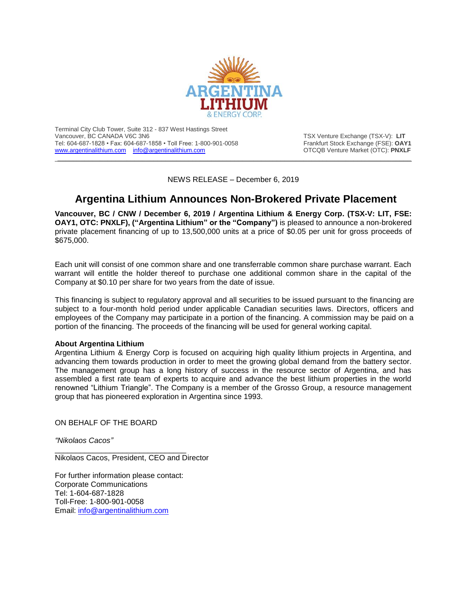

Terminal City Club Tower, Suite 312 - 837 West Hastings Street Tel: 604-687-1828 • Fax: 604-687-1858 • Toll Free: 1-800-901-0058 [www.argentinalithium.com](http://www.argentinalithium.com/) [info@argentinalithium.com](mailto:info@argentinalithium.com) **OTCQB Venture Market (OTC): PNXLF** 

TSX Venture Exchange (TSX-V): LIT<br>Frankfurt Stock Exchange (FSE): OAY1

NEWS RELEASE – December 6, 2019

\_\_\_\_\_\_\_\_\_\_\_\_\_\_\_\_\_\_\_\_\_\_\_\_\_\_\_\_\_\_\_\_\_\_\_\_\_\_\_\_\_\_\_\_\_\_\_\_\_\_\_\_\_\_\_\_\_\_\_\_\_\_\_\_\_\_\_\_\_\_\_\_\_\_\_\_\_\_\_\_\_\_\_\_\_\_\_\_\_\_\_\_

## **Argentina Lithium Announces Non-Brokered Private Placement**

**Vancouver, BC / CNW / December 6, 2019 / Argentina Lithium & Energy Corp. (TSX-V: LIT, FSE: OAY1, OTC: PNXLF), ("Argentina Lithium" or the "Company")** is pleased to announce a non-brokered private placement financing of up to 13,500,000 units at a price of \$0.05 per unit for gross proceeds of \$675,000.

Each unit will consist of one common share and one transferrable common share purchase warrant. Each warrant will entitle the holder thereof to purchase one additional common share in the capital of the Company at \$0.10 per share for two years from the date of issue.

This financing is subject to regulatory approval and all securities to be issued pursuant to the financing are subject to a four-month hold period under applicable Canadian securities laws. Directors, officers and employees of the Company may participate in a portion of the financing. A commission may be paid on a portion of the financing. The proceeds of the financing will be used for general working capital.

## **About Argentina Lithium**

Argentina Lithium & Energy Corp is focused on acquiring high quality lithium projects in Argentina, and advancing them towards production in order to meet the growing global demand from the battery sector. The management group has a long history of success in the resource sector of Argentina, and has assembled a first rate team of experts to acquire and advance the best lithium properties in the world renowned "Lithium Triangle". The Company is a member of the Grosso Group, a resource management group that has pioneered exploration in Argentina since 1993.

ON BEHALF OF THE BOARD

*"Nikolaos Cacos"*

\_\_\_\_\_\_\_\_\_\_\_\_\_\_\_\_\_\_\_\_\_\_\_\_\_\_\_\_\_\_\_ Nikolaos Cacos, President, CEO and Director

For further information please contact: Corporate Communications Tel: 1-604-687-1828 Toll-Free: 1-800-901-0058 Email: [info@argentinalithium.com](mailto:info@argentinalithium.com)